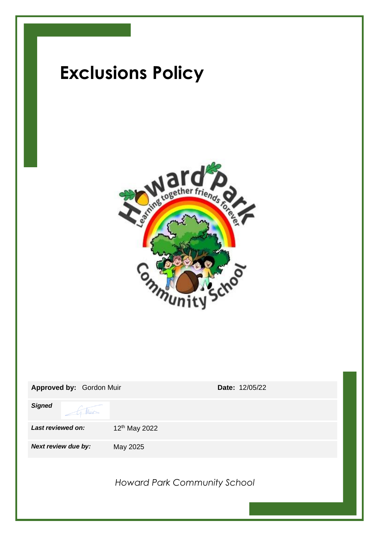

| Approved by: Gordon Muir | <b>Date: 12/05/22</b>        |
|--------------------------|------------------------------|
| <b>Signed</b>            |                              |
| Last reviewed on:        | 12 <sup>th</sup> May 2022    |
| Next review due by:      | May 2025                     |
|                          | Howard Park Community School |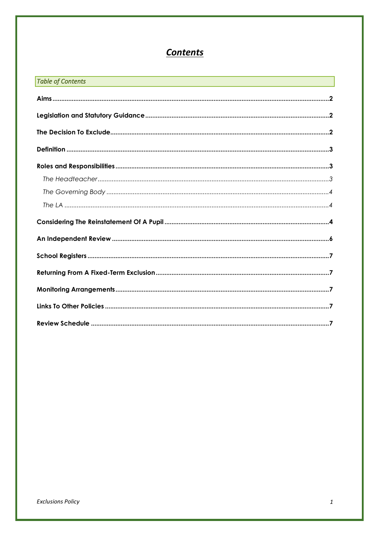# **Contents**

| <b>Table of Contents</b><br>$\mathcal{L}^{\text{max}}_{\text{max}}$ and $\mathcal{L}^{\text{max}}_{\text{max}}$ and $\mathcal{L}^{\text{max}}_{\text{max}}$ |  |
|-------------------------------------------------------------------------------------------------------------------------------------------------------------|--|
|                                                                                                                                                             |  |
|                                                                                                                                                             |  |
|                                                                                                                                                             |  |
|                                                                                                                                                             |  |
|                                                                                                                                                             |  |
|                                                                                                                                                             |  |
|                                                                                                                                                             |  |
|                                                                                                                                                             |  |
|                                                                                                                                                             |  |
|                                                                                                                                                             |  |
|                                                                                                                                                             |  |
|                                                                                                                                                             |  |
|                                                                                                                                                             |  |
|                                                                                                                                                             |  |
|                                                                                                                                                             |  |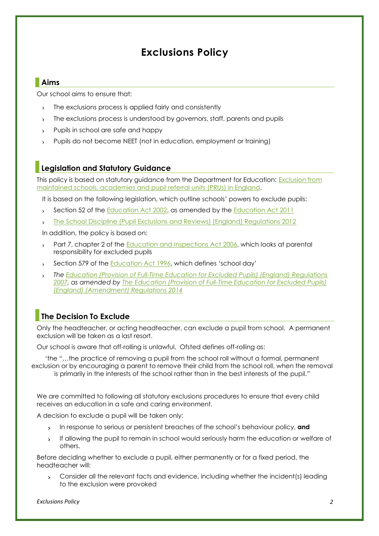# **Exclusions Policy**

# <span id="page-2-0"></span>**Aims**

Our school aims to ensure that:

- The exclusions process is applied fairly and consistently  $\overline{\mathbf{r}}$
- The exclusions process is understood by governors, staff, parents and pupils
- Pupils in school are safe and happy
- Pupils do not become NEET (not in education, employment or training)

# <span id="page-2-1"></span>**Legislation and Statutory Guidance**

This policy is based on statutory guidance from the Department for Education: [Exclusion from](https://www.gov.uk/government/publications/school-exclusion)  maintained [schools, academies and pupil referral units \(PRUs\) in England.](https://www.gov.uk/government/publications/school-exclusion)

It is based on the following legislation, which outline schools' powers to exclude pupils:

- Section 52 of the [Education Act 2002,](http://www.legislation.gov.uk/ukpga/2002/32/section/52) as amended by the [Education Act 2011](http://www.legislation.gov.uk/ukpga/2011/21/contents/enacted)  $\mathbf{v}$
- [The School Discipline \(Pupil Exclusions and Reviews\) \(England\) Regulations 2012](http://www.legislation.gov.uk/uksi/2012/1033/made)

In addition, the policy is based on:

- Part 7, chapter 2 of the [Education and Inspections Act 2006,](http://www.legislation.gov.uk/ukpga/2006/40/part/7/chapter/2) which looks at parental responsibility for excluded pupils
- Section 579 of the [Education Act 1996](http://www.legislation.gov.uk/ukpga/1996/56/section/579), which defines 'school day'
- *The [Education \(Provision of Full-Time Education for Excluded Pupils\) \(England\) Regulations](http://www.legislation.gov.uk/uksi/2007/1870/contents/made)  [2007,](http://www.legislation.gov.uk/uksi/2007/1870/contents/made) as amended by [The Education \(Provision of Full-Time Education for Excluded Pupils\)](http://www.legislation.gov.uk/uksi/2014/3216/contents/made)  [\(England\) \(Amendment\) Regulations 2014](http://www.legislation.gov.uk/uksi/2014/3216/contents/made)*

# <span id="page-2-2"></span>**The Decision To Exclude**

Only the headteacher, or acting headteacher, can exclude a pupil from school. A permanent exclusion will be taken as a last resort.

Our school is aware that off-rolling is unlawful. Ofsted defines off-rolling as:

'the "…the practice of removing a pupil from the school roll without a formal, permanent exclusion or by encouraging a parent to remove their child from the school roll, when the removal

is primarily in the interests of the school rather than in the best interests of the pupil."

We are committed to following all statutory exclusions procedures to ensure that every child receives an education in a safe and caring environment.

A decision to exclude a pupil will be taken only:

- $\mathbf{v}$ In response to serious or persistent breaches of the school's behaviour policy, **and**
- If allowing the pupil to remain in school would seriously harm the education or welfare of  $\overline{\phantom{0}}$ others.

Before deciding whether to exclude a pupil, either permanently or for a fixed period, the headteacher will:

Consider all the relevant facts and evidence, including whether the incident(s) leading  $\mathbf{S}$ to the exclusion were provoked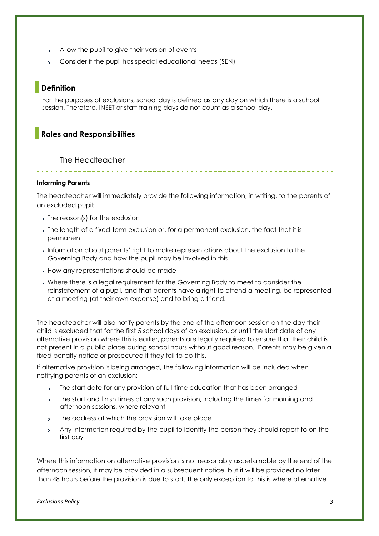- Allow the pupil to give their version of events  $\mathbf{y}$
- Consider if the pupil has special educational needs (SEN)

## <span id="page-3-0"></span>**Definition**

For the purposes of exclusions, school day is defined as any day on which there is a school session. Therefore, INSET or staff training days do not count as a school day.

## <span id="page-3-1"></span>**Roles and Responsibilities**

#### <span id="page-3-2"></span>The Headteacher

#### **Informing Parents**

The headteacher will immediately provide the following information, in writing, to the parents of an excluded pupil:

- > The reason(s) for the exclusion
- The length of a fixed-term exclusion or, for a permanent exclusion, the fact that it is permanent
- Information about parents' right to make representations about the exclusion to the Governing Body and how the pupil may be involved in this
- How any representations should be made
- Where there is a legal requirement for the Governing Body to meet to consider the reinstatement of a pupil, and that parents have a right to attend a meeting, be represented at a meeting (at their own expense) and to bring a friend.

The headteacher will also notify parents by the end of the afternoon session on the day their child is excluded that for the first 5 school days of an exclusion, or until the start date of any alternative provision where this is earlier, parents are legally required to ensure that their child is not present in a public place during school hours without good reason. Parents may be given a fixed penalty notice or prosecuted if they fail to do this.

If alternative provision is being arranged, the following information will be included when notifying parents of an exclusion:

- The start date for any provision of full-time education that has been arranged  $\mathbf{v}$
- The start and finish times of any such provision, including the times for morning and  $\mathbf{S}$ afternoon sessions, where relevant
- The address at which the provision will take place  $\mathbf{v}$
- Any information required by the pupil to identify the person they should report to on the  $\mathbf{v}$ first day

Where this information on alternative provision is not reasonably ascertainable by the end of the afternoon session, it may be provided in a subsequent notice, but it will be provided no later than 48 hours before the provision is due to start. The only exception to this is where alternative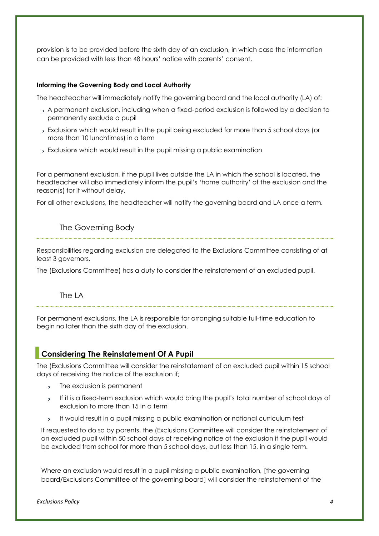provision is to be provided before the sixth day of an exclusion, in which case the information can be provided with less than 48 hours' notice with parents' consent.

#### **Informing the Governing Body and Local Authority**

The headteacher will immediately notify the governing board and the local authority (LA) of:

- A permanent exclusion, including when a fixed-period exclusion is followed by a decision to permanently exclude a pupil
- Exclusions which would result in the pupil being excluded for more than 5 school days (or more than 10 lunchtimes) in a term
- Exclusions which would result in the pupil missing a public examination

For a permanent exclusion, if the pupil lives outside the LA in which the school is located, the headteacher will also immediately inform the pupil's 'home authority' of the exclusion and the reason(s) for it without delay.

For all other exclusions, the headteacher will notify the governing board and LA once a term.

# <span id="page-4-0"></span>The Governing Body

Responsibilities regarding exclusion are delegated to the Exclusions Committee consisting of at least 3 governors.

<span id="page-4-1"></span>The (Exclusions Committee) has a duty to consider the reinstatement of an excluded pupil.

# The LA

For permanent exclusions, the LA is responsible for arranging suitable full-time education to begin no later than the sixth day of the exclusion.

# <span id="page-4-2"></span>**Considering The Reinstatement Of A Pupil**

The (Exclusions Committee will consider the reinstatement of an excluded pupil within 15 school days of receiving the notice of the exclusion if;

- The exclusion is permanent  $\mathbf{y}$
- If it is a fixed-term exclusion which would bring the pupil's total number of school days of  $\mathbf{S}$ exclusion to more than 15 in a term
- It would result in a pupil missing a public examination or national curriculum test  $\mathbf{y}^{\top}$

If requested to do so by parents, the (Exclusions Committee will consider the reinstatement of an excluded pupil within 50 school days of receiving notice of the exclusion if the pupil would be excluded from school for more than 5 school days, but less than 15, in a single term.

Where an exclusion would result in a pupil missing a public examination, [the governing board/Exclusions Committee of the governing board] will consider the reinstatement of the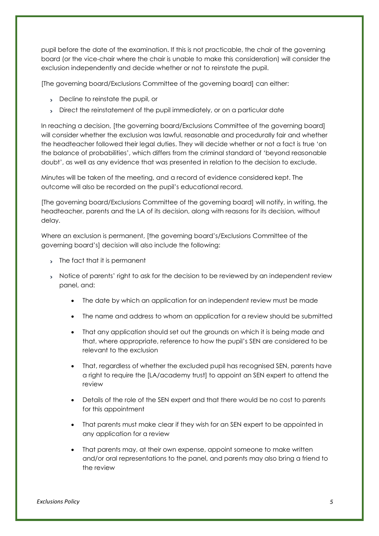pupil before the date of the examination. If this is not practicable, the chair of the governing board (or the vice-chair where the chair is unable to make this consideration) will consider the exclusion independently and decide whether or not to reinstate the pupil.

[The governing board/Exclusions Committee of the governing board] can either:

- Decline to reinstate the pupil, or
- Direct the reinstatement of the pupil immediately, or on a particular date

In reaching a decision, [the governing board/Exclusions Committee of the governing board] will consider whether the exclusion was lawful, reasonable and procedurally fair and whether the headteacher followed their legal duties. They will decide whether or not a fact is true 'on the balance of probabilities', which differs from the criminal standard of 'beyond reasonable doubt', as well as any evidence that was presented in relation to the decision to exclude.

Minutes will be taken of the meeting, and a record of evidence considered kept. The outcome will also be recorded on the pupil's educational record.

[The governing board/Exclusions Committee of the governing board] will notify, in writing, the headteacher, parents and the LA of its decision, along with reasons for its decision, without delay.

Where an exclusion is permanent, [the governing board's/Exclusions Committee of the governing board's] decision will also include the following:

- The fact that it is permanent
- > Notice of parents' right to ask for the decision to be reviewed by an independent review panel, and:
	- The date by which an application for an independent review must be made
	- The name and address to whom an application for a review should be submitted
	- That any application should set out the grounds on which it is being made and that, where appropriate, reference to how the pupil's SEN are considered to be relevant to the exclusion
	- That, regardless of whether the excluded pupil has recognised SEN, parents have a right to require the [LA/academy trust] to appoint an SEN expert to attend the review
	- Details of the role of the SEN expert and that there would be no cost to parents for this appointment
	- That parents must make clear if they wish for an SEN expert to be appointed in any application for a review
	- That parents may, at their own expense, appoint someone to make written and/or oral representations to the panel, and parents may also bring a friend to the review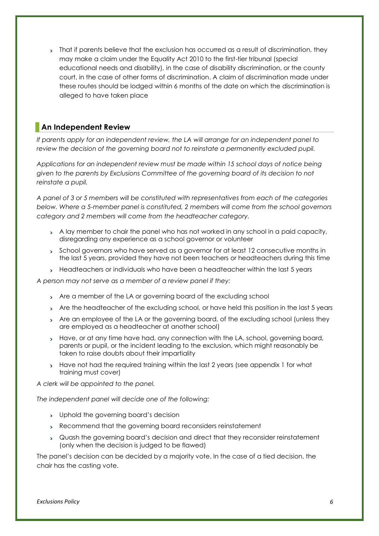That if parents believe that the exclusion has occurred as a result of discrimination, they may make a claim under the Equality Act 2010 to the first-tier tribunal (special educational needs and disability), in the case of disability discrimination, or the county court, in the case of other forms of discrimination. A claim of discrimination made under these routes should be lodged within 6 months of the date on which the discrimination is alleged to have taken place

# <span id="page-6-0"></span>**An Independent Review**

*If parents apply for an independent review, the LA will arrange for an independent panel to*  review the decision of the governing board not to reinstate a permanently excluded pupil.

*Applications for an independent review must be made within 15 school days of notice being given to the parents by Exclusions Committee of the governing board of its decision to not reinstate a pupil.*

*A panel of 3 or 5 members will be constituted with representatives from each of the categories below. Where a 5-member panel is constituted, 2 members will come from the school governors category and 2 members will come from the headteacher category.* 

- A lay member to chair the panel who has not worked in any school in a paid capacity, disregarding any experience as a school governor or volunteer
- School governors who have served as a governor for at least 12 consecutive months in the last 5 years, provided they have not been teachers or headteachers during this time
- Headteachers or individuals who have been a headteacher within the last 5 years

*A person may not serve as a member of a review panel if they:*

- Are a member of the LA or governing board of the excluding school
- Are the headteacher of the excluding school, or have held this position in the last 5 years
- Are an employee of the LA or the governing board, of the excluding school (unless they are employed as a headteacher at another school)
- > Have, or at any time have had, any connection with the LA, school, governing board, parents or pupil, or the incident leading to the exclusion, which might reasonably be taken to raise doubts about their impartiality
- > Have not had the required training within the last 2 years (see appendix 1 for what training must cover)

*A clerk will be appointed to the panel.* 

*The independent panel will decide one of the following:*

- > Uphold the governing board's decision
- Recommend that the governing board reconsiders reinstatement
- Quash the governing board's decision and direct that they reconsider reinstatement (only when the decision is judged to be flawed)

The panel's decision can be decided by a majority vote. In the case of a tied decision, the chair has the casting vote.